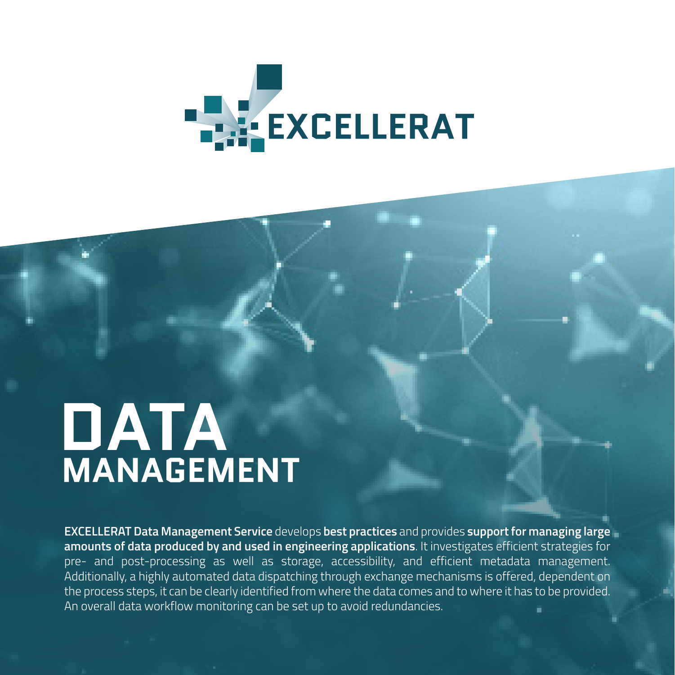

# **DATA**<br>MANAGEMENT

**EXCELLERAT Data Management Service** develops **best practices** and provides **support for managing large amounts of data produced by and used in engineering applications**. It investigates efficient strategies for pre- and post-processing as well as storage, accessibility, and efficient metadata management. Additionally, a highly automated data dispatching through exchange mechanisms is offered, dependent on the process steps, it can be clearly identified from where the data comes and to where it has to be provided. An overall data workflow monitoring can be set up to avoid redundancies.